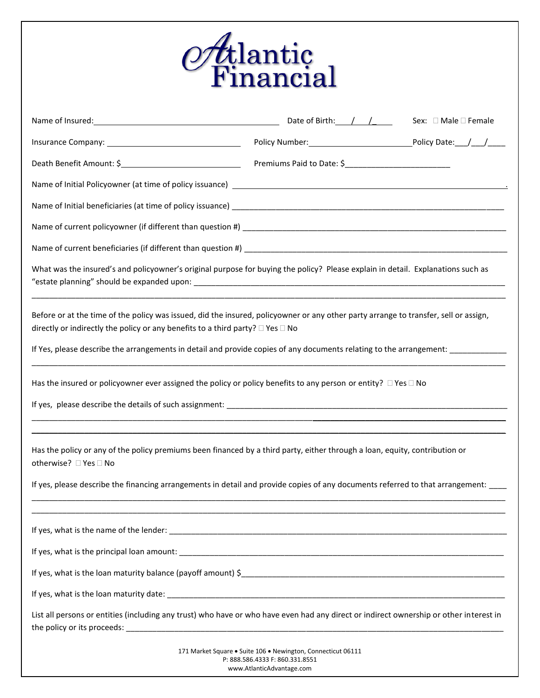|                                                                                                                                                                                                                                                                                                                                                               | <i>Oft</i> lantic<br>Financial                                                                  |  |
|---------------------------------------------------------------------------------------------------------------------------------------------------------------------------------------------------------------------------------------------------------------------------------------------------------------------------------------------------------------|-------------------------------------------------------------------------------------------------|--|
|                                                                                                                                                                                                                                                                                                                                                               |                                                                                                 |  |
|                                                                                                                                                                                                                                                                                                                                                               |                                                                                                 |  |
|                                                                                                                                                                                                                                                                                                                                                               |                                                                                                 |  |
|                                                                                                                                                                                                                                                                                                                                                               |                                                                                                 |  |
|                                                                                                                                                                                                                                                                                                                                                               |                                                                                                 |  |
|                                                                                                                                                                                                                                                                                                                                                               |                                                                                                 |  |
|                                                                                                                                                                                                                                                                                                                                                               |                                                                                                 |  |
| What was the insured's and policyowner's original purpose for buying the policy? Please explain in detail. Explanations such as                                                                                                                                                                                                                               |                                                                                                 |  |
| Before or at the time of the policy was issued, did the insured, policyowner or any other party arrange to transfer, sell or assign,<br>directly or indirectly the policy or any benefits to a third party? $\square$ Yes $\square$ No<br>If Yes, please describe the arrangements in detail and provide copies of any documents relating to the arrangement: |                                                                                                 |  |
| Has the insured or policyowner ever assigned the policy or policy benefits to any person or entity? $\Box$ Yes $\Box$ No<br>If yes, please describe the details of such assignment: Manual Community of the control of the control of such a strategy of the control of such a strategy of the control of such a strategy of the control of the control of    |                                                                                                 |  |
| Has the policy or any of the policy premiums been financed by a third party, either through a loan, equity, contribution or<br>otherwise? □ Yes □ No                                                                                                                                                                                                          |                                                                                                 |  |
| If yes, please describe the financing arrangements in detail and provide copies of any documents referred to that arrangement:<br><u> 1980 - Johann Stoff, deutscher Stoff, der Stoff, der Stoff, der Stoff, der Stoff, der Stoff, der Stoff, der S</u>                                                                                                       |                                                                                                 |  |
|                                                                                                                                                                                                                                                                                                                                                               |                                                                                                 |  |
|                                                                                                                                                                                                                                                                                                                                                               |                                                                                                 |  |
|                                                                                                                                                                                                                                                                                                                                                               |                                                                                                 |  |
|                                                                                                                                                                                                                                                                                                                                                               |                                                                                                 |  |
| List all persons or entities (including any trust) who have or who have even had any direct or indirect ownership or other interest in                                                                                                                                                                                                                        |                                                                                                 |  |
|                                                                                                                                                                                                                                                                                                                                                               | 171 Market Square · Suite 106 · Newington, Connecticut 06111<br>P: 888.586.4333 F: 860.331.8551 |  |

www.AtlanticAdvantage.com